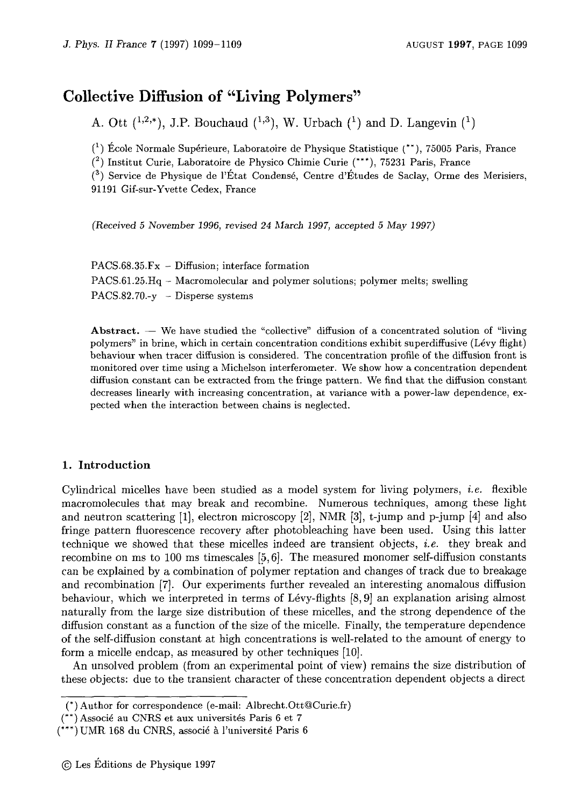# Collective Diffusion of "Living Polymers"

A. Ott  $(^{1,2,*})$ , J.P. Bouchaud  $(^{1,3})$ , W. Urbach  $(^{1})$  and D. Langevin  $(^{1})$ 

 $({}^{1})$  École Normale Supérieure, Laboratoire de Physique Statistique  $({}^{**})$ , 75005 Paris, France

(~) Institut Curie, Laboratoire de Physico Chimie Curie (\*\*\*), 75231 Paris, France

 $({}^{3})$  Service de Physique de l'État Condensé, Centre d'Études de Saclay, Orme des Merisiers, 91191 Gif-sur-Yvette Cedex, France

(Received <sup>5</sup> November 1996, revised <sup>24</sup> hlarch 1997, accepted <sup>5</sup> May 1997)

| $PACS.68.35.Fx - Diffusion$ ; interface formation                                |
|----------------------------------------------------------------------------------|
| $PACS.61.25.Hq - Macromolecular and polymer solutions; polymer melts; switching$ |
| $PACS.82.70.-v - Disperse$ systems                                               |

Abstract. We have studied the "collective" diffusion of <sup>a</sup> concentrated solution of "living polymers" in brine, which in certain concentration conditions exhibit superdiffusive (Lévy flight) behaviour when tracer diffusion is considered. The concentration profile of the diffusion front is monitored over time using <sup>a</sup> Michelson interferometer. We show how <sup>a</sup> concentration dependent diffusion constant can be extracted from the fringe pattern. We find that the diffusion constant decreases linearly with increasing concentration, at variance with <sup>a</sup> power-law dependence, expected when the interaction between chains is neglected.

## 1. Introduction

Cylindrical micelles have been studied as a model system for living polymers, *i.e.* flexible macromolecules that may break and recombine. Numerous techniques, among these light and neutron scattering [1], electron microscopy [2], NMR [3], t-jump and p-jump [4] and also fringe pattern fluorescence recovery after photobleaching have been used. Using this latter technique we showed that these micelles indeed are transient objects, *i.e.* they break and recombine on ms to 100 ms timescales  $[5, 6]$ . The measured monomer self-diffusion constants can be explained by <sup>a</sup> combination of polymer reptation and changes of track due to breakage and recombination [7]. Our experiments further revealed an interesting anomalous diffusion behaviour, which we interpreted in terms of Lévy-flights  $[8, 9]$  an explanation arising almost naturally from the large size distribution of these micelles, and the strong dependence of the diffusion constant as <sup>a</sup> function of the size of the micelle. Finally, the temperature dependence of the self-diffusion constant at high concentrations is well-related to the amount of energy to form <sup>a</sup> micelle endcap, as measured by other techniques [10].

An unsolved problem [from an experimental point of view) remains the size distribution of these objects: due to the transient character of these concentration dependent objects <sup>a</sup> direct

<sup>(\*</sup> Author for correspondence (e-mail: Albrecht.Ott@Curie.fr)

 $(**)$  Associé au CNRS et aux universités Paris 6 et 7

<sup>(\*\*\*)</sup> UMR 168 du CNRS, associé à l'université Paris 6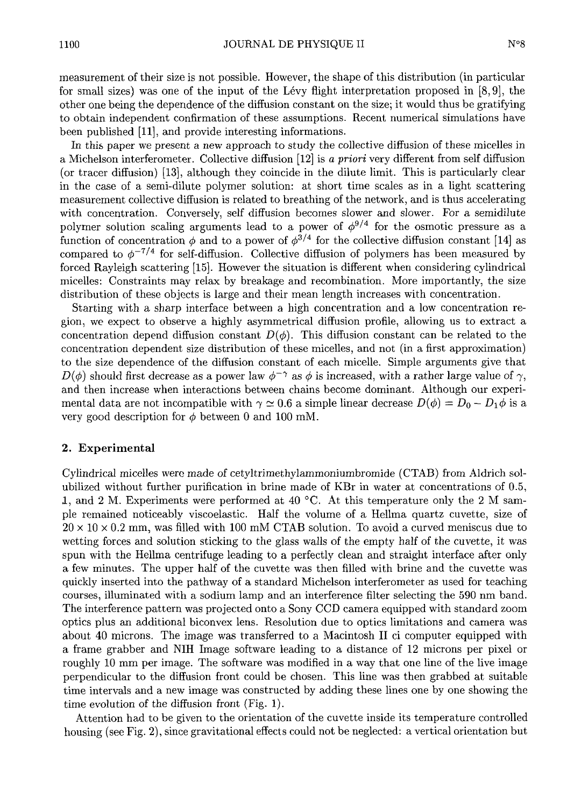measurement of their size is not possible. However, the shape of this distribution (in particular for small sizes) was one of the input of the L4vy flight interpretation proposed in [8,9], the other one being the dependence of the diffusion constant on the size; it would thus be gratifying to obtain independent confirmation of these assumptions. Recent numerical simulations have been published [11], and provide interesting informations.

In this paper we present <sup>a</sup> new approach to study the collective diffusion of these micelles in <sup>a</sup> Michelson interferometer. Collective diffusion [12] is <sup>a</sup> priori very different from self diffusion (or tracer diffusion) [13], although they coincide in the dilute limit. This is particularly clear in the case of <sup>a</sup> semi-dilute polymer solution: at short time scales as in <sup>a</sup> light scattering measurement collective diffusion is related to breathing of the network, and is thus accelerating with concentration. Conversely, self diffusion becomes slower and slower. For a semidilute polymer solution scaling arguments lead to a power of  $\phi^{9/4}$  for the osmotic pressure as a function of concentration  $\phi$  and to a power of  $\phi^{3/4}$  for the collective diffusion constant [14] as compared to  $\phi^{-7/4}$  for self-diffusion. Collective diffusion of polymers has been measured by forced Rayleigh scattering [15]. However the situation is different when considering cylindrical micelles: Constraints may relax by breakage and recombination. More importantly, the size distribution of these objects is large and their mean length increases with concentration.

Starting with <sup>a</sup> sharp interface between <sup>a</sup> high concentration and <sup>a</sup> low concentration region, we expect to observe <sup>a</sup> highly asymmetrical diffusion profile, allowing us to extract <sup>a</sup> concentration depend diffusion constant  $D(\phi)$ . This diffusion constant can be related to the concentration dependent size distribution of these micelles, and not (in <sup>a</sup> first approximation) to the size dependence of the diffusion constant of each micelle. Simple arguments give that  $D(\phi)$  should first decrease as a power law  $\phi^{-\gamma}$  as  $\phi$  is increased, with a rather large value of  $\gamma$ , and then increase when interactions between chains become dominant. Although our experimental data are not incompatible with  $\gamma \simeq 0.6$  a simple linear decrease  $D(\phi) = D_0 - D_1\phi$  is a very good description for  $\phi$  between 0 and 100 mM.

# 2. Experimental

Cylindrical micelles were made of cetyltrimethylammoniumbromide (CTAB) from Aldrich solubilized without further purification in brine made of KBr in water at concentrations of 0.5, 1, and 2 M. Experiments were performed at 40  $^{\circ}$ C. At this temperature only the 2 M sample remained noticeably viscoelastic. Half the volume of <sup>a</sup> Hellma quartz cuvette, size of  $20 \times 10 \times 0.2$  mm, was filled with 100 mM CTAB solution. To avoid a curved meniscus due to wetting forces and solution sticking to the glass walls of the empty half of the cuvette, it was spun with the Hellma centrifuge leading to <sup>a</sup> perfectly clean and straight interface after only <sup>a</sup> few minutes. The upper half of the cuvette was then filled with brine and the cuvette was quickly inserted into the pathway of <sup>a</sup> standard Michelson interferometer as used for teaching courses, illuminated with <sup>a</sup> sodium lamp and an interference filter selecting the <sup>590</sup> nm band. The interference pattern was projected onto <sup>a</sup> Sony CCD camera equipped with standard zoom optics plus an additional biconvex lens. Resolution due to optics limitations and camera was about <sup>40</sup> microns. The image was transferred to <sup>a</sup> Macintosh II ci computer equipped with <sup>a</sup> frame grabber and NIH Image software leading to <sup>a</sup> distance of12 microns per pixel or roughly 10 mm per image. The software was modified in a way that one line of the live image perpendicular to the diffusion front could be chosen. This line was then grabbed at suitable the permitted and a new image was engineed by adding these lines one by one showing the time intervais and a new image was constructed.  $\mathcal{L}_{\text{total}}$  . The dimension to the orientation of the currents inside its temperature controlled

housing (c. Fig. 2), since gravitational effects could not be neglected: a vertical orientation but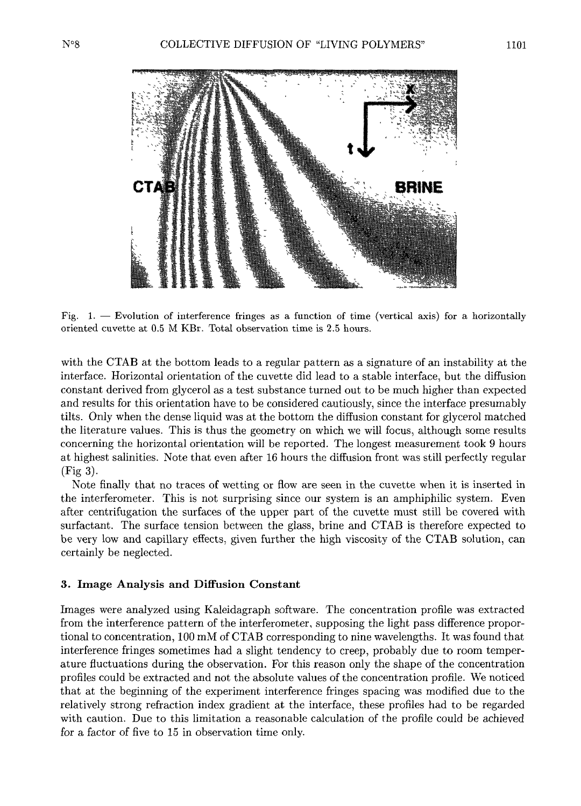

Fig. 1.  $-$  Evolution of interference fringes as a function of time (vertical axis) for a horizontally oriented cuvette at 0.5 M KBr. Total observation time is 2.5 hours.

with the CTAB at the bottom leads to <sup>a</sup> regular pattern as <sup>a</sup> signature of an instability at the interface. Horizontal orientation of the cuvette did lead to <sup>a</sup> stable interface, but the diffusion recriace. Intriguitation of the and the curveted and teach to a static interface, but the amazion and results for this orientation have to be considered cautiously, since the interface presumably tilts. Only when the dense liquid was at the bottom the diffusion constant for glycerol matched the literature values. This is thus the geometry on which we will focus, although some results concerning the horizontal orientation will be reported. The longest measurement took 9 hours at highest salinities. Note that even after <sup>16</sup> hours the diffusion front was still perfectly regular (Fig 3). (Fig 3).<br>Note finally that no traces of wetting or flow are seen in the cuvette when it is inserted in

the interferometer. This is not surprising since our system is an amphiphilic system. Even after centrifugation the surfaces of the upper part of the cuvette must still be covered with surfactant. The surface tension between the glass, brine and CTAB is therefore expected to be very low and capillary effects, given further the high viscosity of the CTAB solution, can certainly be neglected.

## 3. Image Analysis and Diffusion Constant

Images were analyzed using Kaleidagraph software. The concentration profile was extracted from the interference pattern of the interferometer, supposing the light pass difference proportional to concentration, <sup>100</sup> mM ofCTAB corresponding to nine wavelengths. It was found that interference fringes sometimes had <sup>a</sup> slight tendency to creep, probably due to room temperature fluctuations during the observation. For this reason only the shape of the concentration profiles concentration and not the absolute values of the absolute values of the concentration profile  $\alpha$ profiles could be extracted and not the absolute values of the concentration profile. We noticed<br>that at the beginning of the experiment interference fringes spacing was modified due to the relatively strong refraction index gradient at the interface, these profiles had to be regarded with caution. Due to this limitation <sup>a</sup> reasonable calculation of the profile could be achieved for <sup>a</sup> factor of five to <sup>15</sup> in observation time only.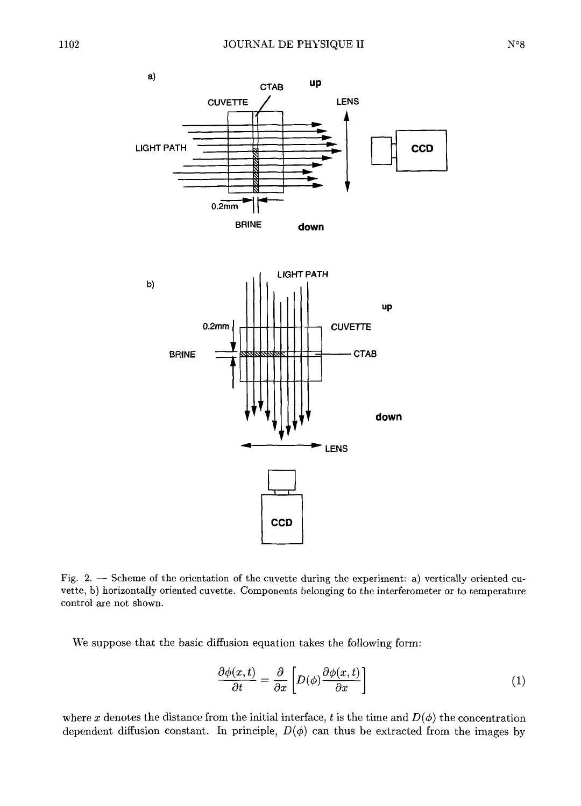

Fig. 2.  $-$  Scheme of the orientation of the cuvette during the experiment: a) vertically oriented cuvette, b) horizontally oriented cuvette. Components belonging to the interferometer or to temperature control are not shown.

We suppose that the basic diffusion equation takes the following form:

$$
\frac{\partial \phi(x,t)}{\partial t} = \frac{\partial}{\partial x} \left[ D(\phi) \frac{\partial \phi(x,t)}{\partial x} \right] \tag{1}
$$

where x denotes the distance from the initial interface, t is the time and  $D(\phi)$  the concentration dependent diffusion constant. In principle,  $D(\phi)$  can thus be extracted from the images by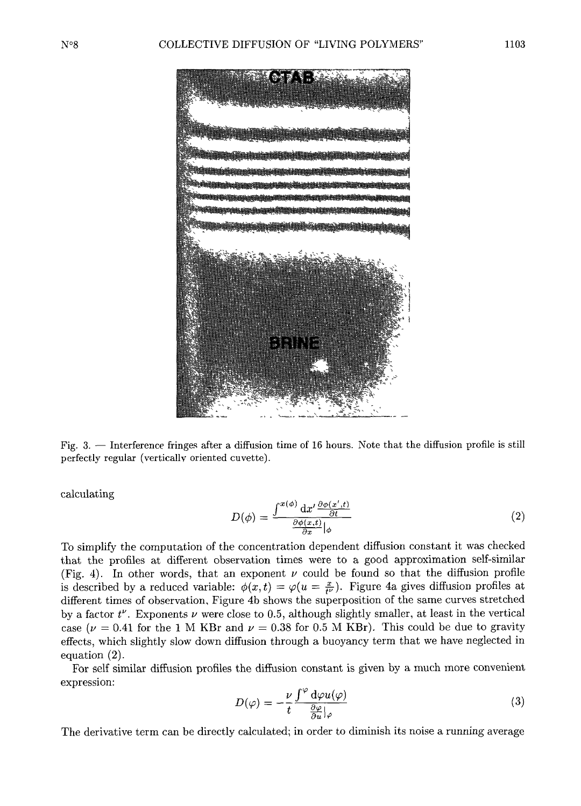

Fig. 3. — Interference fringes after a diffusion time of 16 hours. Note that the diffusion profile is still perfectly regular (verticallv oriented cuvette).

calculating

$$
D(\phi) = \frac{\int^{x(\phi)} \mathrm{d}x' \frac{\partial \phi(x',t)}{\partial t}}{\frac{\partial \phi(x,t)}{\partial x}|_{\phi}}
$$
(2)

 $T \mapsto \mathcal{V}(t, t)$  simplify the computation dependent diffusion constant it was checked to simplify the computation of the concentration dependent different constant it was checked<br>Let the grafies at different observation times were to a good approximation self-similar  $(\mathbb{F}_{q^2}^*, 4)$ . In other words, that an exponent v could be found so that the diffusion profile (Fig. 4). In other words, that an exponent  $\nu$  could be found so that the diffusion profiles at  $\frac{1}{2}$  described by a reduced variable:  $\frac{1}{2}(x,t) = \frac{1}{2}(y-\frac{x}{2})$ . Figure 4a gives diffusion profiles at is described by a reduced variable:  $\phi(x,t) = \varphi(u = \frac{x}{t^{\nu}})$ . Figure 4a gives diffusion profiles at different times of observation, Figure 4b shows the superposition of the same curves stretched by a factor  $t^{\nu}$ . Exponents  $\nu$  were close to 0.5, although slightly smaller, at least in the vertical case ( $\nu = 0.41$  for the 1 M KBr and  $\nu = 0.38$  for 0.5 M KBr). This could be due to gravity  $\begin{bmatrix} \mu & -0.41 \text{ to} \text{ the 1 with KDI and } \nu & -0.00 \text{ to} \text{ 0.01 KDI}, \text{ this could be due to gravity} \end{bmatrix}$  $\text{recus}, \text{wintu}$ 

For self similar diffusion profiles the diffusion constant is given by <sup>a</sup> much more convenient expression:

$$
D(\varphi) = -\frac{\nu}{t} \frac{\int^{\varphi} d\varphi u(\varphi)}{\frac{\partial \varphi}{\partial u} |_{\varphi}}
$$
 (3)

The derivative term can be directly calculated; in order to diminish its noise <sup>a</sup> running average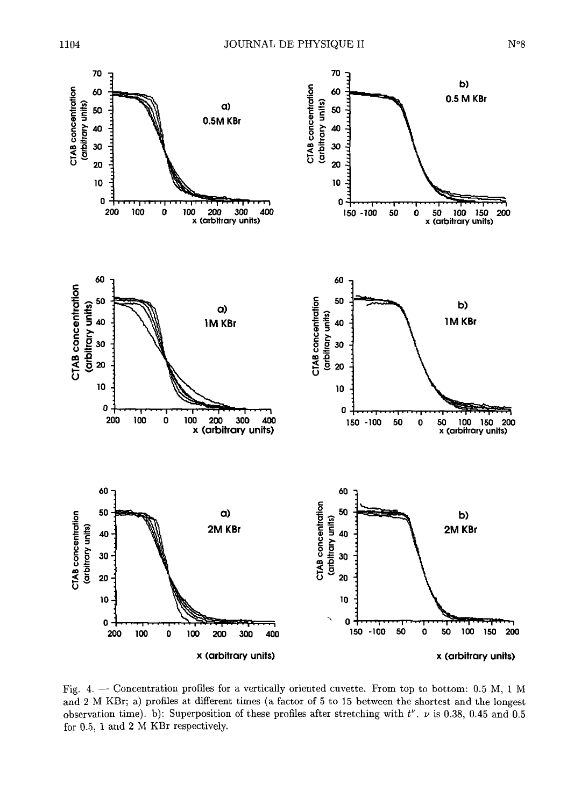

Fig. 4.  $-$  Concentration profiles for a vertically oriented cuvette. From top to bottom: 0.5 M, 1 M and 2 M KBr; a) profiles at different times (a factor of 5 to 15 between the shortest and the longest  $\begin{bmatrix} 0 & 0 & 0 \\ 0 & 0 & 0 \end{bmatrix}$  is the superposition of these profiles after stretching with  $t^{\nu}$ , via 0.38, 0.45 and 0.5 for 0.5, <sup>1</sup> and 2 M KBr respectively.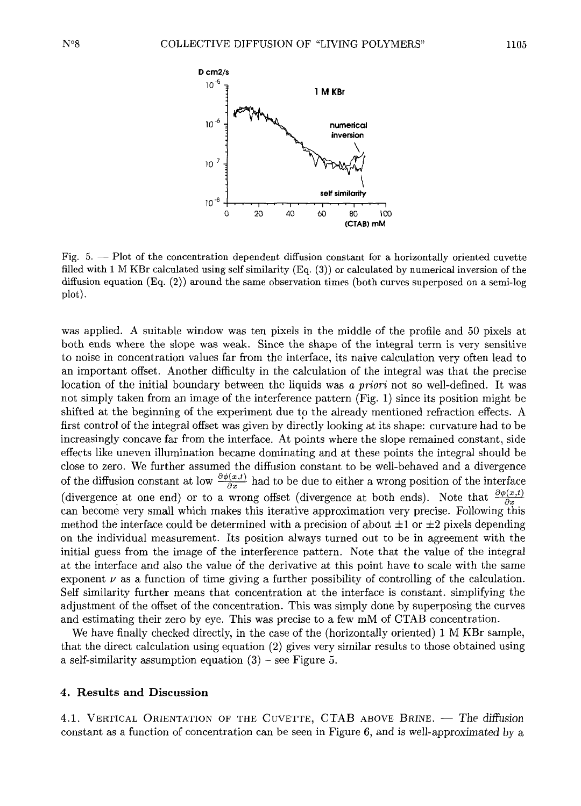

Fig.  $5. -$  Plot of the concentration dependent diffusion constant for a horizontally oriented cuvette filled with 1 M KBr calculated using self similarity  $(Eq. (3))$  or calculated by numerical inversion of the diffusion equation (Eq. (2)) around the same observation times (both curves superposed on a semi-log diffusion  $(F_{Q_1}(2))$  around the same observation times (both curves superposed on a semi-log  $\frac{1}{2}$ .

was applied. <sup>A</sup> suitable window was ten pixels in the middle of the profile and <sup>50</sup> pixels at both ends where the slope was weak. Since the shape of the integral term is very sensitive to noise in concentration values far from the interface, its naive calculation very often lead to an important offset. Another difficulty in the calculation of the integral was that the precise location of the initial boundary between the liquids was a priori not so well-defined. It was not simply taken from an image of the interference pattern (Fig. 1) since its position might be shifted at the beginning of the experiment due to the already mentioned refraction effects. A first control of the integral offset was given by directly looking at its shape: curvature had to be increasingly concave far from the interface. At points where the slope remained constant, side effects like uneven illumination became dominating and at these points the integral should be close to zero. We further assumed the diffusion constant to be well-behaved and <sup>a</sup> divergence chose to zero. We further assumed the diffusion constant to be well-behaved and a divergence<br>of the diffusion constant at low  $\frac{\partial \phi(x,t)}{\partial t}$  had to be due to either a wrong position of the interface of the diffusion constant at low  $\frac{\partial \phi(x,t)}{\partial x}$  had to be due to either a wrong position of the interface  $(\text{div}(\phi(x), t))$ (divergence at one end) or to a wrong offset (divergence at both ends). Note that  $\frac{\partial \phi(x,t)}{\partial x}$  can become very small which makes this iterative approximation very precise. Following this method the interface could be determined with a precision of about  $\pm 1$  or  $\pm 2$  pixels depending on the individual measurement. Its position always turned out to be in agreement with the initial guess from the image of the interference pattern. Note that the value of the integral at the interface and also the value of the derivative at this point have to scale with the same exponent  $\nu$  as a function of time giving a further possibility of controlling of the calculation. Self similarity further means that concentration at the interface is constant. simplifying the adjustment of the offset of the concentration. This was simply done by superposing the curves and estimating their zero by eye. This was precise to <sup>a</sup> few mM of CTAB concentration.

We have finally checked directly, in the case of the (horizontally oriented)  $1 M KBr$  sample, that the direct calculation using equation (2) gives very similar results to those obtained using a self-similarity assumption equation  $(3)$  – see Figure 5.

# 4. Results and Discussion

4.1. VERTICAL ORIENTATION OF THE CUVETTE, CTAB ABOVE BRINE. — The diffusion constant as <sup>a</sup> function of concentration can be seen in Figure 6, and is well-approximated by <sup>a</sup>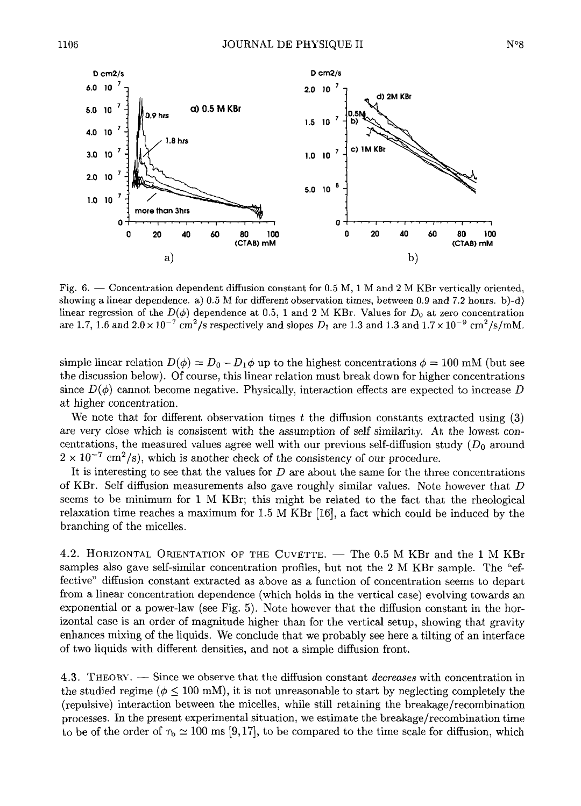

Fig.  $6.$  - Concentration dependent diffusion constant for 0.5 M, 1 M and 2 M KBr vertically oriented. showing <sup>a</sup> linear dependence. a) 0.5 M for different observation times, between 0.9 and 7.2 hours. b)-d) linear regression of the  $D(\phi)$  dependence at 0.5, 1 and 2 M KBr. Values for  $D_0$  at zero concentration are 1.7, 1.6 and  $2.0 \times 10^{-7}$  cm<sup>2</sup>/s respectively and slopes  $D_1$  are 1.3 and 1.3 and  $1.7 \times 10^{-9}$  cm<sup>2</sup>/s/mM.

simple linear relation  $D(\phi) = D_0 - D_1\phi$  up to the highest concentrations  $\phi = 100$  mM (but see the discussion below). Of course, this linear relation must break down for higher concentrations since  $D(\phi)$  cannot become negative. Physically, interaction effects are expected to increase D at higher concentration.

We note that for different observation times t the diffusion constants extracted using  $(3)$ are very close which is consistent with the assumption of self similarity. At the lowest concentrations, the measured values agree well with our previous self-diffusion study  $(D_0$  around centrations, the measured values agree well with our previous self-dimension st<br> $2 \times 10^{-7}$  cm<sup>2</sup>/c), which is another check of the consistency of our procedure.

It is interesting to see that the values for  $D$  are about the same for the three concentrations of KBr. Self diffusion measurements also gave roughly similar values. Note however that  $D$ seems to be minimum for <sup>1</sup> <sup>M</sup> KBr; this might be related to the fact that the rheological relative to communicate  $\alpha_1$  and  $\alpha_2$  maximum for  $1.5 M K B_r$  [16], a fact which could be induced by the  $\frac{1}{1-\epsilon}$  of  $\frac{1}{1-\epsilon}$  is  $\frac{1}{1-\epsilon}$ 

4.2. HORIZONTAL ORIENTATION OF THE CUVETTE. - The 0.5 M KBr and the 1 M KBr samples also gave self-similar concentration profiles, but not the <sup>2</sup> <sup>M</sup> KBr sample. The "effective" diffusion constant extracted as above as <sup>a</sup> function of concentration seems to depart from <sup>a</sup> linear concentration dependence (which holds in the vertical case) evolving towards an exponential or <sup>a</sup> power-law (see Fig. 5). Note however that the diffusion constant in the horizontal case is an order of magnitude higher than for the vertical setup, showing that gravity enhances mixing of the liquids. We conclude that we probably see here <sup>a</sup> tilting of an interface of two liquids with different densities, and not <sup>a</sup> simple diffusion front.

4.3. THEORY. Since we observe that the diffusion constant decreases with concentration in t.3. THEORY,  $\sim$  5 fince we observe that the diffusion constant *accreases* with concentration in the studied regime ( $\phi \leq 100$  mM), it is not unreasonable to start by neglecting completely the (repulsive) interaction between the micelles, while still retaining the breakage/recombination processes. In the present experimental situation, we estimate the breakage /recombination time to be of the order of  $\tau_{\rm b} \simeq 100$  ms [9,17], to be compared to the time scale for diffusion, which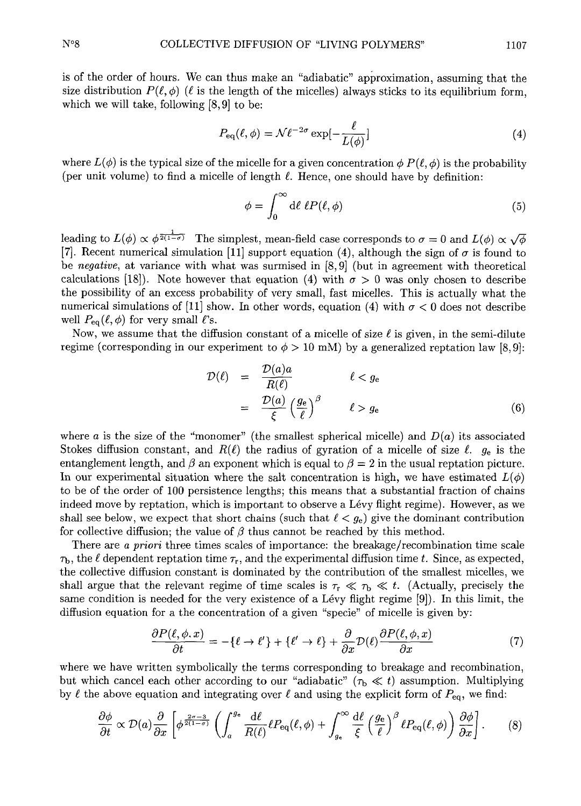is of the order of hours. We can thus make an "adiabatic" approximation, assuming that the size distribution  $P(\ell, \phi)$  ( $\ell$  is the length of the micelles) always sticks to its equilibrium form, which we will take, following [8,9] to be:

$$
P_{\text{eq}}(\ell,\phi) = \mathcal{N}\ell^{-2\sigma} \exp[-\frac{\ell}{L(\phi)}]
$$
\n(4)

where  $L(\phi)$  is the typical size of the micelle for a given concentration  $\phi P(\ell, \phi)$  is the probability (per unit volume) to find a micelle of length  $\ell$ . Hence, one should have by definition:

$$
\phi = \int_0^\infty d\ell \,\ell P(\ell, \phi) \tag{5}
$$

leading to  $L(\phi) \propto \phi^{\frac{1}{2(1-\sigma)}}$  The simplest, mean-field case corresponds to  $\sigma = 0$  and  $L(\phi) \propto \sqrt{\phi}$ Eauling to  $D(\psi) \propto \psi^{-1}$ . The simplest, ineali-lieful case corresponds to  $\sigma = 0$  and  $D(\psi) \propto \sqrt{\psi}$ <br>[7] Recent numerical simulation [11] support equation (4), although the sign of  $\sigma$  is found to be negative, at variance with what was surmised in [8, 9] (but in agreement with theoretical calculations [18]). Note however that equation (4) with  $\sigma > 0$  was only chosen to describe the possibility of an excess probability of very small, fast micelles. This is actually what the numerical simulations of [11] show. In other words, equation (4) with  $\sigma < 0$  does not describe well  $P_{eq}(\ell, \phi)$  for very small  $\ell$ 's.

Now, we assume that the diffusion constant of a micelle of size  $\ell$  is given, in the semi-dilute regime (corresponding in our experiment to  $\phi > 10$  mM) by a generalized reptation law [8,9]:

$$
\mathcal{D}(\ell) = \frac{\mathcal{D}(a)a}{R(\ell)} \qquad \ell < g_e
$$
\n
$$
= \frac{\mathcal{D}(a)}{\xi} \left(\frac{g_e}{\ell}\right)^{\beta} \qquad \ell > g_e \tag{6}
$$

where <sup>a</sup> is the size of the "monomer" (the smallest spherical micelle) and D(a) its associated Stokes diffusion constant, and  $R(\ell)$  the radius of gyration of a micelle of size  $\ell$ .  $g_e$  is the entanglement length, and  $\beta$  an exponent which is equal to  $\beta = 2$  in the usual reptation picture. In our experimental situation where the salt concentration is high, we have estimated  $L(\phi)$ to be of the order of 100 persistence lengths; this means that a substantial fraction of chains indeed move by reptation, which is important to observe a Lévy flight regime). However, as we shall see below, we expect that short chains (such that  $\ell < g_e$ ) give the dominant contribution for collective diffusion; the value of  $\beta$  thus cannot be reached by this method.

There are a priori three times scales of importance: the breakage/recombination time scale  $\tau_{\rm b}$ , the  $\ell$  dependent reptation time  $\tau_{\rm r}$ , and the experimental diffusion time t. Since, as expected, the collective diffusion constant is dominated by the contribution of the smallest micelles, we shall argue that the relevant regime of time scales is  $\tau_r \ll \tau_b \ll t$ . (Actually, precisely the same condition is needed for the very existence of a Lévy flight regime [9]). In this limit, the diffusion equation for <sup>a</sup> the concentration of <sup>a</sup> given "specie" of micelle is given by:

$$
\frac{\partial P(\ell, \phi, x)}{\partial t} = -\{\ell \to \ell'\} + \{\ell' \to \ell\} + \frac{\partial}{\partial x} \mathcal{D}(\ell) \frac{\partial P(\ell, \phi, x)}{\partial x} \tag{7}
$$

where we have written symbolically the terms corresponding to breakage and recombination, but which cancel each other according to our "adiabatic" ( $\tau_b \ll t$ ) assumption. Multiplying by  $\ell$  the above equation and integrating over  $\ell$  and using the explicit form of  $P_{eq}$ , we find:

$$
\frac{\partial \phi}{\partial t} \propto \mathcal{D}(a) \frac{\partial}{\partial x} \left[ \phi^{\frac{2\sigma - 3}{2(1 - \sigma)}} \left( \int_a^{g_e} \frac{d\ell}{R(\ell)} \ell P_{\text{eq}}(\ell, \phi) + \int_{g_e}^{\infty} \frac{d\ell}{\xi} \left( \frac{g_e}{\ell} \right)^{\beta} \ell P_{\text{eq}}(\ell, \phi) \right) \frac{\partial \phi}{\partial x} \right].
$$
 (8)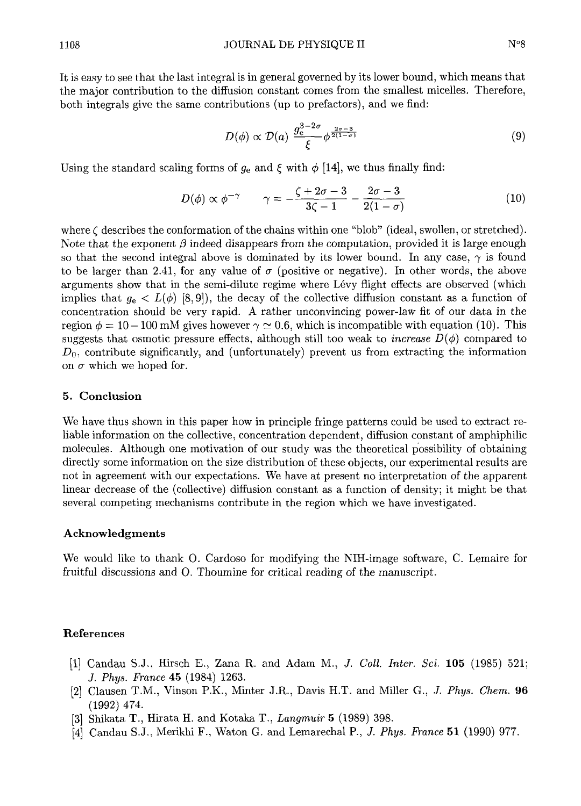It is easy to see that the last integral is in general governed by its lower bound, which means that the major contribution to the diffusion constant comes from the smallest micelles. Therefore, both integrals give the same contributions (up to prefactors), and we find:

$$
D(\phi) \propto \mathcal{D}(a) \; \frac{g_e^{3-2\sigma}}{\xi} \phi^{\frac{2\sigma-3}{2(1-\sigma)}} \tag{9}
$$

Using the standard scaling forms of  $g_e$  and  $\xi$  with  $\phi$  [14], we thus finally find:

$$
D(\phi) \propto \phi^{-\gamma} \qquad \gamma = -\frac{\zeta + 2\sigma - 3}{3\zeta - 1} - \frac{2\sigma - 3}{2(1 - \sigma)} \tag{10}
$$

where  $\zeta$  describes the conformation of the chains within one "blob" (ideal, swollen, or stretched).<br>Note that the exponent  $\beta$  indeed disappears from the computation, provided it is large enough so that the second integral above is dominated by its lower bound. In any case,  $\gamma$  is found to be larger than 2.41, for any value of  $\sigma$  (positive or negative). In other words, the above arguments show that in the semi-dilute regime where Lévy flight effects are observed (which implies that  $g_e < L(\phi)$  [8,9]), the decay of the collective diffusion constant as a function of concentration should be very rapid. A rather unconvincing power-law fit of our data in the concentration should be very rapid. A rather unconvincing power law in suggests that osmotic pressure effects, although still too weak to *increase*  $D(\phi)$  compared to  $D_0$ , contribute significantly, and (unfortunately) prevent us from extracting the information on  $\sigma$  which we hoped for.

### 5. Conclusion

We have thus shown in this paper how in principle fringe patterns could be used to extract reliable information on the collective, concentration dependent, diffusion constant of amphiphilic able information on the collective, concentration dependent, diffusion constant of amphiphility<br>pologylog – Although one motivation of our study was the theoretical possibility of obtaining molecules. Although one motivation of our study was the theoretical possibility of obtaining directly some information on the size distribution of these objects, our experimental results are not in agreement with our expectations. We have at present no interpretation of the apparent linear decrease of the (collective) diffusion constant as <sup>a</sup> function of density; it might be that several competing mechanisms contribute in the region which we have investigated.

### Acknowledgments

We would like to thank O. Cardoso for modifying the NIH-image software, C. Lemaire for fruitful discussions and O. Thoumine for critical reading of the manuscript.

#### References

- [1] Candau S.J., Hirsch E., Zana R. and Adam M., *J. Coll. Inter. Sci.*  $105$  (1985) 521; J. Phys. France 45 (1984) 1263.
- [2] Clausen T.M., Vinson P.K., Minter J.R., Davis H.T. and Miller G., *J. Phys. Chem.* 96 (1992) 474.
- [3] Shikata T., Hirata H. and Kotaka T., Langmuir 5 (1989) 398.
- j4] Candau S-J., Merikhi F., Waton G. and Lemarechal P., J. Phys. France <sup>51</sup> (1990) 977.